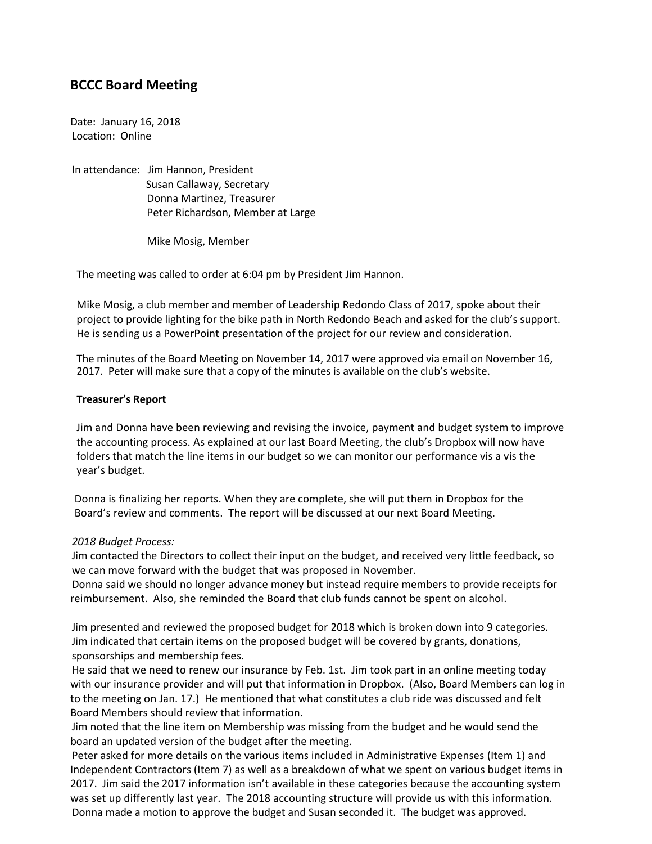# **BCCC Board Meeting**

Date: January 16, 2018 Location: Online

In attendance: Jim Hannon, President Susan Callaway, Secretary Donna Martinez, Treasurer Peter Richardson, Member at Large

Mike Mosig, Member

The meeting was called to order at 6:04 pm by President Jim Hannon.

Mike Mosig, a club member and member of Leadership Redondo Class of 2017, spoke about their project to provide lighting for the bike path in North Redondo Beach and asked for the club's support. He is sending us a PowerPoint presentation of the project for our review and consideration.

The minutes of the Board Meeting on November 14, 2017 were approved via email on November 16, 2017. Peter will make sure that a copy of the minutes is available on the club's website.

#### **Treasurer's Report**

Jim and Donna have been reviewing and revising the invoice, payment and budget system to improve the accounting process. As explained at our last Board Meeting, the club's Dropbox will now have folders that match the line items in our budget so we can monitor our performance vis a vis the year's budget.

Donna is finalizing her reports. When they are complete, she will put them in Dropbox for the Board's review and comments. The report will be discussed at our next Board Meeting.

## *2018 Budget Process:*

Jim contacted the Directors to collect their input on the budget, and received very little feedback, so we can move forward with the budget that was proposed in November.

Donna said we should no longer advance money but instead require members to provide receipts for reimbursement. Also, she reminded the Board that club funds cannot be spent on alcohol.

Jim presented and reviewed the proposed budget for 2018 which is broken down into 9 categories. Jim indicated that certain items on the proposed budget will be covered by grants, donations, sponsorships and membership fees.

He said that we need to renew our insurance by Feb. 1st. Jim took part in an online meeting today with our insurance provider and will put that information in Dropbox. (Also, Board Members can log in to the meeting on Jan. 17.) He mentioned that what constitutes a club ride was discussed and felt Board Members should review that information.

Jim noted that the line item on Membership was missing from the budget and he would send the board an updated version of the budget after the meeting.

Peter asked for more details on the various items included in Administrative Expenses (Item 1) and Independent Contractors (Item 7) as well as a breakdown of what we spent on various budget items in 2017. Jim said the 2017 information isn't available in these categories because the accounting system was set up differently last year. The 2018 accounting structure will provide us with this information. Donna made a motion to approve the budget and Susan seconded it. The budget was approved.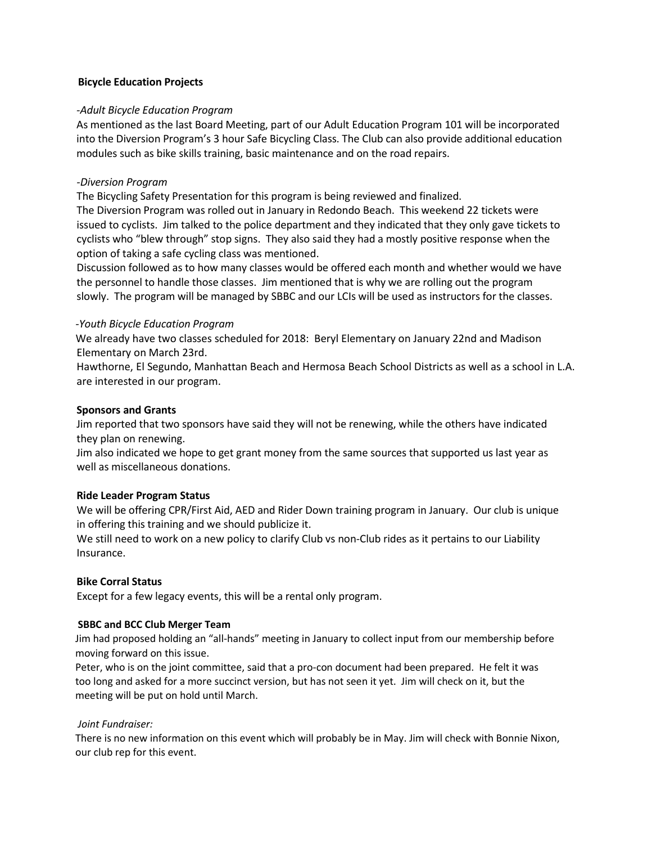## **Bicycle Education Projects**

#### *-Adult Bicycle Education Program*

As mentioned as the last Board Meeting, part of our Adult Education Program 101 will be incorporated into the Diversion Program's 3 hour Safe Bicycling Class. The Club can also provide additional education modules such as bike skills training, basic maintenance and on the road repairs.

#### *-Diversion Program*

The Bicycling Safety Presentation for this program is being reviewed and finalized.

The Diversion Program was rolled out in January in Redondo Beach. This weekend 22 tickets were issued to cyclists. Jim talked to the police department and they indicated that they only gave tickets to cyclists who "blew through" stop signs. They also said they had a mostly positive response when the option of taking a safe cycling class was mentioned.

Discussion followed as to how many classes would be offered each month and whether would we have the personnel to handle those classes. Jim mentioned that is why we are rolling out the program slowly. The program will be managed by SBBC and our LCIs will be used as instructors for the classes.

#### *-Youth Bicycle Education Program*

We already have two classes scheduled for 2018: Beryl Elementary on January 22nd and Madison Elementary on March 23rd.

Hawthorne, El Segundo, Manhattan Beach and Hermosa Beach School Districts as well as a school in L.A. are interested in our program.

#### **Sponsors and Grants**

Jim reported that two sponsors have said they will not be renewing, while the others have indicated they plan on renewing.

Jim also indicated we hope to get grant money from the same sources that supported us last year as well as miscellaneous donations.

#### **Ride Leader Program Status**

We will be offering CPR/First Aid, AED and Rider Down training program in January. Our club is unique in offering this training and we should publicize it.

We still need to work on a new policy to clarify Club vs non-Club rides as it pertains to our Liability Insurance.

## **Bike Corral Status**

Except for a few legacy events, this will be a rental only program.

## **SBBC and BCC Club Merger Team**

Jim had proposed holding an "all-hands" meeting in January to collect input from our membership before moving forward on this issue.

 Peter, who is on the joint committee, said that a pro-con document had been prepared. He felt it was too long and asked for a more succinct version, but has not seen it yet. Jim will check on it, but the meeting will be put on hold until March.

## *Joint Fundraiser:*

 There is no new information on this event which will probably be in May. Jim will check with Bonnie Nixon, our club rep for this event.